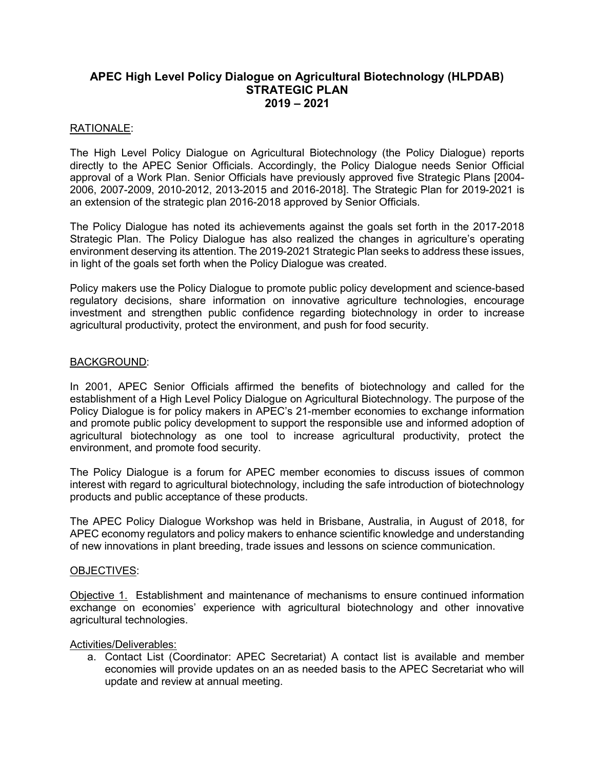# APEC High Level Policy Dialogue on Agricultural Biotechnology (HLPDAB) STRATEGIC PLAN 2019 – 2021

# RATIONALE:

The High Level Policy Dialogue on Agricultural Biotechnology (the Policy Dialogue) reports directly to the APEC Senior Officials. Accordingly, the Policy Dialogue needs Senior Official approval of a Work Plan. Senior Officials have previously approved five Strategic Plans [2004- 2006, 2007-2009, 2010-2012, 2013-2015 and 2016-2018]. The Strategic Plan for 2019-2021 is an extension of the strategic plan 2016-2018 approved by Senior Officials.

The Policy Dialogue has noted its achievements against the goals set forth in the 2017-2018 Strategic Plan. The Policy Dialogue has also realized the changes in agriculture's operating environment deserving its attention. The 2019-2021 Strategic Plan seeks to address these issues, in light of the goals set forth when the Policy Dialogue was created.

Policy makers use the Policy Dialogue to promote public policy development and science-based regulatory decisions, share information on innovative agriculture technologies, encourage investment and strengthen public confidence regarding biotechnology in order to increase agricultural productivity, protect the environment, and push for food security.

# BACKGROUND:

In 2001, APEC Senior Officials affirmed the benefits of biotechnology and called for the establishment of a High Level Policy Dialogue on Agricultural Biotechnology. The purpose of the Policy Dialogue is for policy makers in APEC's 21-member economies to exchange information and promote public policy development to support the responsible use and informed adoption of agricultural biotechnology as one tool to increase agricultural productivity, protect the environment, and promote food security.

The Policy Dialogue is a forum for APEC member economies to discuss issues of common interest with regard to agricultural biotechnology, including the safe introduction of biotechnology products and public acceptance of these products.

The APEC Policy Dialogue Workshop was held in Brisbane, Australia, in August of 2018, for APEC economy regulators and policy makers to enhance scientific knowledge and understanding of new innovations in plant breeding, trade issues and lessons on science communication.

### OBJECTIVES:

Objective 1. Establishment and maintenance of mechanisms to ensure continued information exchange on economies' experience with agricultural biotechnology and other innovative agricultural technologies.

### Activities/Deliverables:

a. Contact List (Coordinator: APEC Secretariat) A contact list is available and member economies will provide updates on an as needed basis to the APEC Secretariat who will update and review at annual meeting.